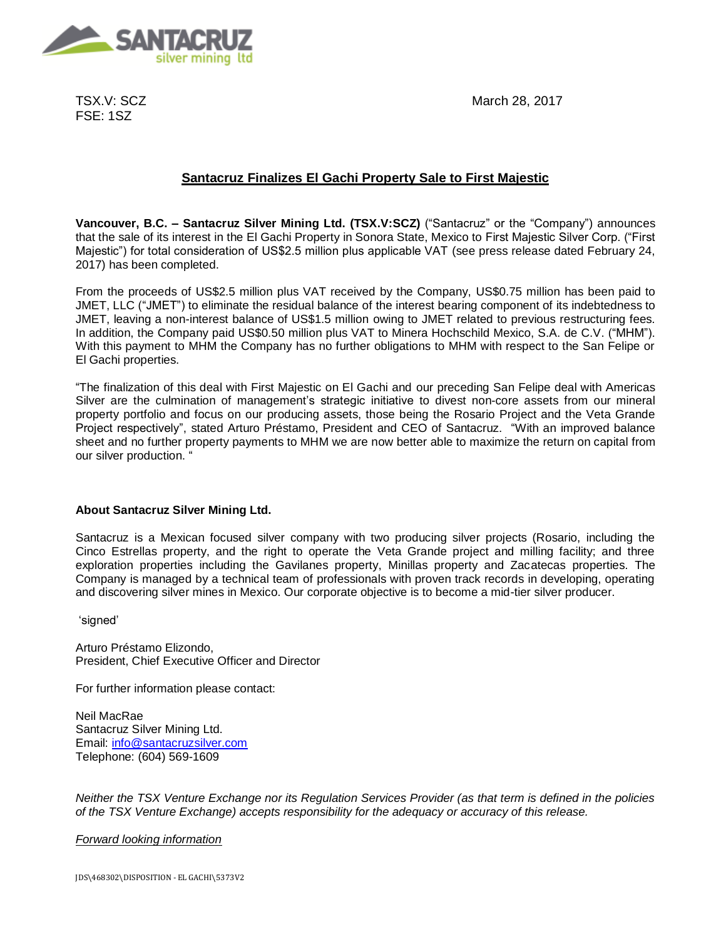

TSX.V: SCZ FSE: 1SZ

March 28, 2017

# **Santacruz Finalizes El Gachi Property Sale to First Majestic**

**Vancouver, B.C. – Santacruz Silver Mining Ltd. (TSX.V:SCZ)** ("Santacruz" or the "Company") announces that the sale of its interest in the El Gachi Property in Sonora State, Mexico to First Majestic Silver Corp. ("First Majestic") for total consideration of US\$2.5 million plus applicable VAT (see press release dated February 24, 2017) has been completed.

From the proceeds of US\$2.5 million plus VAT received by the Company, US\$0.75 million has been paid to JMET, LLC ("JMET") to eliminate the residual balance of the interest bearing component of its indebtedness to JMET, leaving a non-interest balance of US\$1.5 million owing to JMET related to previous restructuring fees. In addition, the Company paid US\$0.50 million plus VAT to Minera Hochschild Mexico, S.A. de C.V. ("MHM"). With this payment to MHM the Company has no further obligations to MHM with respect to the San Felipe or El Gachi properties.

"The finalization of this deal with First Majestic on El Gachi and our preceding San Felipe deal with Americas Silver are the culmination of management's strategic initiative to divest non-core assets from our mineral property portfolio and focus on our producing assets, those being the Rosario Project and the Veta Grande Project respectively", stated Arturo Préstamo, President and CEO of Santacruz. "With an improved balance sheet and no further property payments to MHM we are now better able to maximize the return on capital from our silver production. "

# **About Santacruz Silver Mining Ltd.**

Santacruz is a Mexican focused silver company with two producing silver projects (Rosario, including the Cinco Estrellas property, and the right to operate the Veta Grande project and milling facility; and three exploration properties including the Gavilanes property, Minillas property and Zacatecas properties. The Company is managed by a technical team of professionals with proven track records in developing, operating and discovering silver mines in Mexico. Our corporate objective is to become a mid-tier silver producer.

'signed'

Arturo Préstamo Elizondo, President, Chief Executive Officer and Director

For further information please contact:

Neil MacRae Santacruz Silver Mining Ltd. Email: [info@santacruzsilver.com](mailto:infonmacrae@santacruzsilver.com) Telephone: (604) 569-1609

*Neither the TSX Venture Exchange nor its Regulation Services Provider (as that term is defined in the policies of the TSX Venture Exchange) accepts responsibility for the adequacy or accuracy of this release.* 

# *Forward looking information*